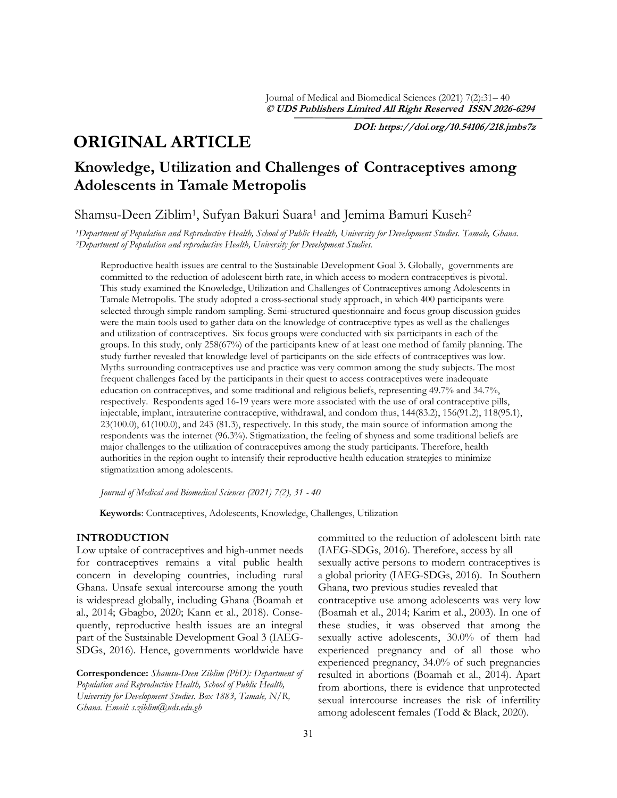**DOI: https://doi.org/10.54106/218.jmbs7z**

# **ORIGINAL ARTICLE**

## **Knowledge, Utilization and Challenges of Contraceptives among Adolescents in Tamale Metropolis**

Shamsu-Deen Ziblim<sup>1</sup>, Sufyan Bakuri Suara<sup>1</sup> and Jemima Bamuri Kuseh<sup>2</sup>

*<sup>1</sup>Department of Population and Reproductive Health, School of Public Health, University for Development Studies. Tamale, Ghana. <sup>2</sup>Department of Population and reproductive Health, University for Development Studies.*

Reproductive health issues are central to the Sustainable Development Goal 3. Globally, governments are committed to the reduction of adolescent birth rate, in which access to modern contraceptives is pivotal. This study examined the Knowledge, Utilization and Challenges of Contraceptives among Adolescents in Tamale Metropolis. The study adopted a cross-sectional study approach, in which 400 participants were selected through simple random sampling. Semi-structured questionnaire and focus group discussion guides were the main tools used to gather data on the knowledge of contraceptive types as well as the challenges and utilization of contraceptives. Six focus groups were conducted with six participants in each of the groups. In this study, only 258(67%) of the participants knew of at least one method of family planning. The study further revealed that knowledge level of participants on the side effects of contraceptives was low. Myths surrounding contraceptives use and practice was very common among the study subjects. The most frequent challenges faced by the participants in their quest to access contraceptives were inadequate education on contraceptives, and some traditional and religious beliefs, representing 49.7% and 34.7%, respectively. Respondents aged 16-19 years were more associated with the use of oral contraceptive pills, injectable, implant, intrauterine contraceptive, withdrawal, and condom thus, 144(83.2), 156(91.2), 118(95.1), 23(100.0), 61(100.0), and 243 (81.3), respectively. In this study, the main source of information among the respondents was the internet (96.3%). Stigmatization, the feeling of shyness and some traditional beliefs are major challenges to the utilization of contraceptives among the study participants. Therefore, health authorities in the region ought to intensify their reproductive health education strategies to minimize stigmatization among adolescents.

*Journal of Medical and Biomedical Sciences (2021) 7(2), 31 - 40* 

**Keywords**: Contraceptives, Adolescents, Knowledge, Challenges, Utilization

## **INTRODUCTION**

Low uptake of contraceptives and high-unmet needs for contraceptives remains a vital public health concern in developing countries, including rural Ghana. Unsafe sexual intercourse among the youth is widespread globally, including Ghana (Boamah et al., 2014; Gbagbo, 2020; Kann et al., 2018). Consequently, reproductive health issues are an integral part of the Sustainable Development Goal 3 (IAEG-SDGs, 2016). Hence, governments worldwide have

**Correspondence:** *Shamsu-Deen Ziblim (PhD): Department of Population and Reproductive Health, School of Public Health, University for Development Studies. Box 1883, Tamale, N/R, Ghana. Email: s.ziblim@uds.edu.gh*

committed to the reduction of adolescent birth rate (IAEG-SDGs, 2016). Therefore, access by all sexually active persons to modern contraceptives is a global priority (IAEG-SDGs, 2016). In Southern Ghana, two previous studies revealed that contraceptive use among adolescents was very low (Boamah et al., 2014; Karim et al., 2003). In one of these studies, it was observed that among the sexually active adolescents, 30.0% of them had experienced pregnancy and of all those who experienced pregnancy, 34.0% of such pregnancies resulted in abortions (Boamah et al., 2014). Apart from abortions, there is evidence that unprotected sexual intercourse increases the risk of infertility among adolescent females (Todd & Black, 2020).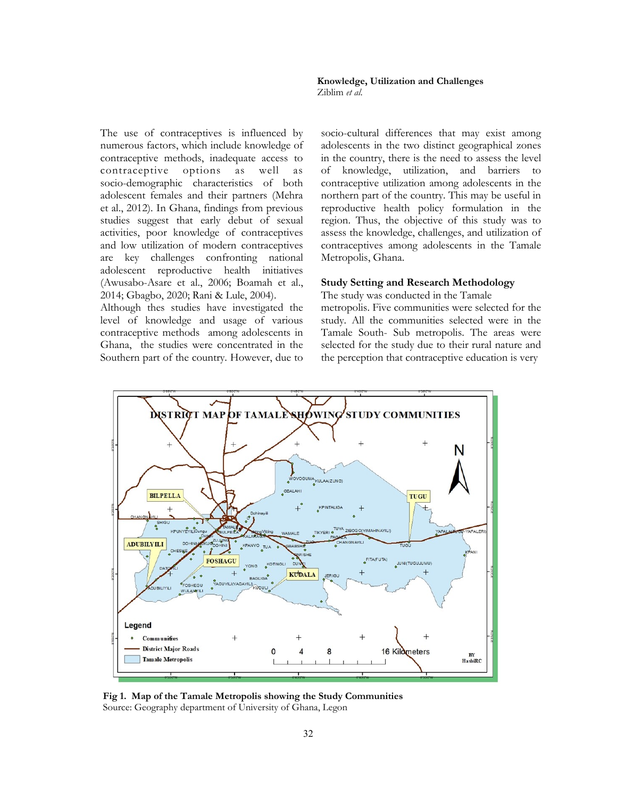The use of contraceptives is influenced by numerous factors, which include knowledge of contraceptive methods, inadequate access to contraceptive options as well as socio-demographic characteristics of both adolescent females and their partners (Mehra et al., 2012). In Ghana, findings from previous studies suggest that early debut of sexual activities, poor knowledge of contraceptives and low utilization of modern contraceptives are key challenges confronting national adolescent reproductive health initiatives (Awusabo-Asare et al., 2006; Boamah et al., 2014; Gbagbo, 2020; Rani & Lule, 2004).

Although thes studies have investigated the level of knowledge and usage of various contraceptive methods among adolescents in Ghana, the studies were concentrated in the Southern part of the country. However, due to socio-cultural differences that may exist among adolescents in the two distinct geographical zones in the country, there is the need to assess the level of knowledge, utilization, and barriers to contraceptive utilization among adolescents in the northern part of the country. This may be useful in reproductive health policy formulation in the region. Thus, the objective of this study was to assess the knowledge, challenges, and utilization of contraceptives among adolescents in the Tamale Metropolis, Ghana.

#### **Study Setting and Research Methodology**

The study was conducted in the Tamale

metropolis. Five communities were selected for the study. All the communities selected were in the Tamale South- Sub metropolis. The areas were selected for the study due to their rural nature and the perception that contraceptive education is very



**Fig 1. Map of the Tamale Metropolis showing the Study Communities** Source: Geography department of University of Ghana, Legon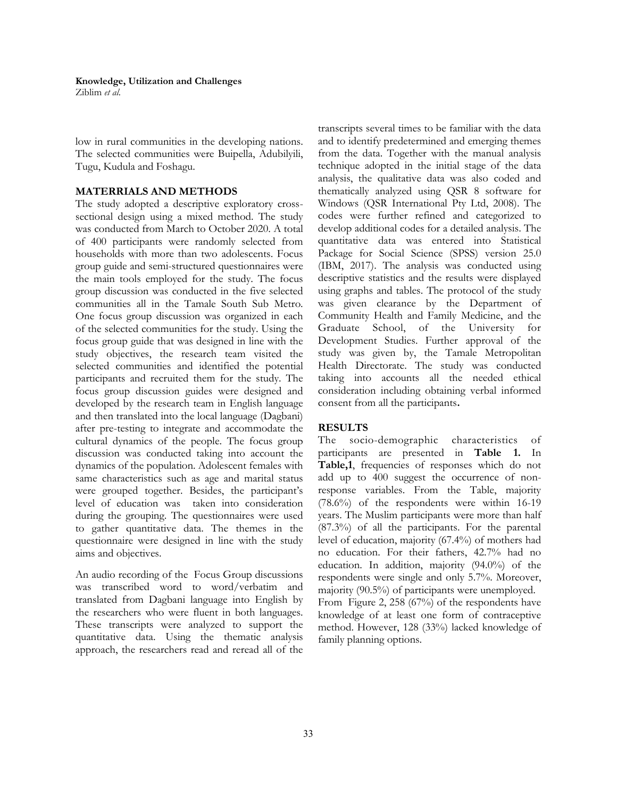Ziblim *et al*.

low in rural communities in the developing nations. The selected communities were Buipella, Adubilyili, Tugu, Kudula and Foshagu.

### **MATERRIALS AND METHODS**

The study adopted a descriptive exploratory crosssectional design using a mixed method. The study was conducted from March to October 2020. A total of 400 participants were randomly selected from households with more than two adolescents. Focus group guide and semi-structured questionnaires were the main tools employed for the study. The focus group discussion was conducted in the five selected communities all in the Tamale South Sub Metro. One focus group discussion was organized in each of the selected communities for the study. Using the focus group guide that was designed in line with the study objectives, the research team visited the selected communities and identified the potential participants and recruited them for the study. The focus group discussion guides were designed and developed by the research team in English language and then translated into the local language (Dagbani) after pre-testing to integrate and accommodate the cultural dynamics of the people. The focus group discussion was conducted taking into account the dynamics of the population. Adolescent females with same characteristics such as age and marital status were grouped together. Besides, the participant's level of education was taken into consideration during the grouping. The questionnaires were used to gather quantitative data. The themes in the questionnaire were designed in line with the study aims and objectives.

An audio recording of the Focus Group discussions was transcribed word to word/verbatim and translated from Dagbani language into English by the researchers who were fluent in both languages. These transcripts were analyzed to support the quantitative data. Using the thematic analysis approach, the researchers read and reread all of the transcripts several times to be familiar with the data and to identify predetermined and emerging themes from the data. Together with the manual analysis technique adopted in the initial stage of the data analysis, the qualitative data was also coded and thematically analyzed using QSR 8 software for Windows (QSR International Pty Ltd, 2008). The codes were further refined and categorized to develop additional codes for a detailed analysis. The quantitative data was entered into Statistical Package for Social Science (SPSS) version 25.0 (IBM, 2017). The analysis was conducted using descriptive statistics and the results were displayed using graphs and tables. The protocol of the study was given clearance by the Department of Community Health and Family Medicine, and the Graduate School, of the University for Development Studies. Further approval of the study was given by, the Tamale Metropolitan Health Directorate. The study was conducted taking into accounts all the needed ethical consideration including obtaining verbal informed consent from all the participants**.**

## **RESULTS**

The socio-demographic characteristics of participants are presented in **Table 1.** In **Table,1**, frequencies of responses which do not add up to 400 suggest the occurrence of nonresponse variables. From the Table, majority (78.6%) of the respondents were within 16-19 years. The Muslim participants were more than half (87.3%) of all the participants. For the parental level of education, majority (67.4%) of mothers had no education. For their fathers, 42.7% had no education. In addition, majority (94.0%) of the respondents were single and only 5.7%. Moreover, majority (90.5%) of participants were unemployed. From Figure 2, 258 (67%) of the respondents have knowledge of at least one form of contraceptive method. However, 128 (33%) lacked knowledge of family planning options.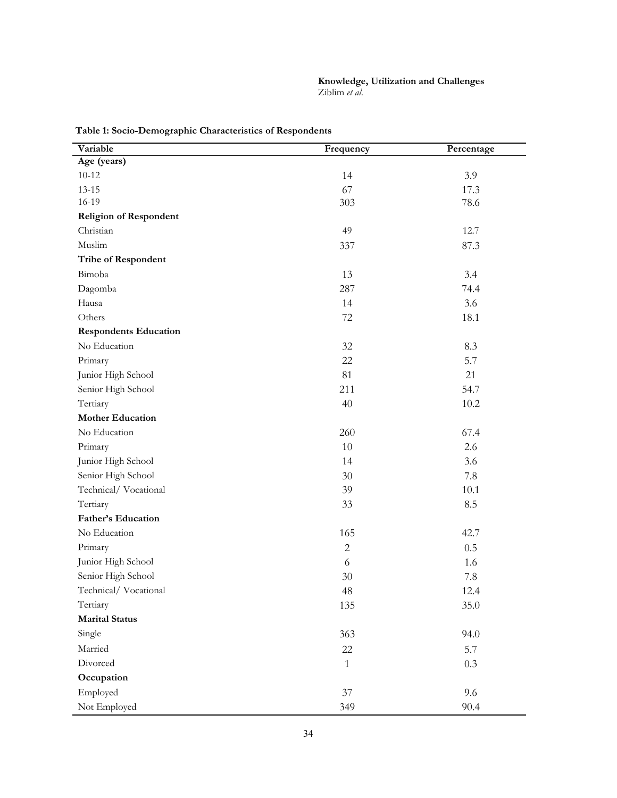| Variable                      | Frequency    | Percentage |
|-------------------------------|--------------|------------|
| Age (years)                   |              |            |
| $10 - 12$                     | 14           | 3.9        |
| $13 - 15$                     | 67           | 17.3       |
| 16-19                         | 303          | 78.6       |
| <b>Religion of Respondent</b> |              |            |
| Christian                     | 49           | 12.7       |
| Muslim                        | 337          | 87.3       |
| Tribe of Respondent           |              |            |
| Bimoba                        | 13           | 3.4        |
| Dagomba                       | 287          | 74.4       |
| Hausa                         | 14           | 3.6        |
| Others                        | 72           | 18.1       |
| <b>Respondents Education</b>  |              |            |
| No Education                  | 32           | 8.3        |
| Primary                       | 22           | 5.7        |
| Junior High School            | 81           | 21         |
| Senior High School            | 211          | 54.7       |
| Tertiary                      | 40           | 10.2       |
| <b>Mother Education</b>       |              |            |
| No Education                  | 260          | 67.4       |
| Primary                       | $10\,$       | 2.6        |
| Junior High School            | 14           | 3.6        |
| Senior High School            | $30\,$       | 7.8        |
| Technical/Vocational          | 39           | 10.1       |
| Tertiary                      | 33           | 8.5        |
| Father's Education            |              |            |
| No Education                  | 165          | 42.7       |
| Primary                       | $\mathbf{2}$ | 0.5        |
| Junior High School            | 6            | 1.6        |
| Senior High School            | 30           | 7.8        |
| Technical/Vocational          | 48           | 12.4       |
| Tertiary                      | 135          | 35.0       |
| <b>Marital Status</b>         |              |            |
| Single                        | 363          | 94.0       |
| Married                       | 22           | 5.7        |
| Divorced                      | $\mathbf{1}$ | 0.3        |
| Occupation                    |              |            |
| Employed                      | 37           | 9.6        |
| Not Employed                  | 349          | 90.4       |

**Table 1: Socio-Demographic Characteristics of Respondents**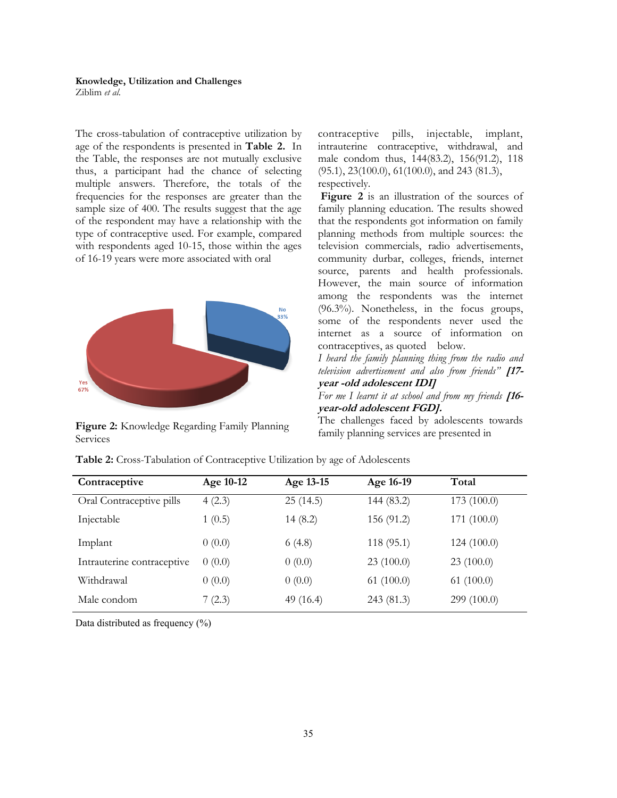## **Knowledge, Utilization and Challenges**

Ziblim *et al*.

The cross-tabulation of contraceptive utilization by age of the respondents is presented in **Table 2.** In the Table, the responses are not mutually exclusive thus, a participant had the chance of selecting multiple answers. Therefore, the totals of the frequencies for the responses are greater than the sample size of 400. The results suggest that the age of the respondent may have a relationship with the type of contraceptive used. For example, compared with respondents aged 10-15, those within the ages of 16-19 years were more associated with oral



Figure 2: Knowledge Regarding Family Planning family planning services are presented in Services

contraceptive pills, injectable, implant, intrauterine contraceptive, withdrawal, and male condom thus, 144(83.2), 156(91.2), 118 (95.1), 23(100.0), 61(100.0), and 243 (81.3), respectively.

**Figure 2** is an illustration of the sources of family planning education. The results showed that the respondents got information on family planning methods from multiple sources: the television commercials, radio advertisements, community durbar, colleges, friends, internet source, parents and health professionals. However, the main source of information among the respondents was the internet (96.3%). Nonetheless, in the focus groups, some of the respondents never used the internet as a source of information on contraceptives, as quoted below.

*I heard the family planning thing from the radio and television advertisement and also from friends"* **[17 year -old adolescent IDI]**

*For me I learnt it at school and from my friends* **[16 year-old adolescent FGD].**

The challenges faced by adolescents towards

| Contraceptive              | Age 10-12 | Age 13-15   | Age 16-19  | Total       |
|----------------------------|-----------|-------------|------------|-------------|
| Oral Contraceptive pills   | 4(2.3)    | 25(14.5)    | 144 (83.2) | 173(100.0)  |
| Injectable                 | 1(0.5)    | 14(8.2)     | 156 (91.2) | 171 (100.0) |
| Implant                    | 0(0.0)    | 6(4.8)      | 118 (95.1) | 124(100.0)  |
| Intrauterine contraceptive | 0(0.0)    | 0(0.0)      | 23(100.0)  | 23(100.0)   |
| Withdrawal                 | 0(0.0)    | 0(0.0)      | 61(100.0)  | 61(100.0)   |
| Male condom                | 7(2.3)    | 49 $(16.4)$ | 243 (81.3) | 299 (100.0) |

**Table 2:** Cross-Tabulation of Contraceptive Utilization by age of Adolescents

Data distributed as frequency (%)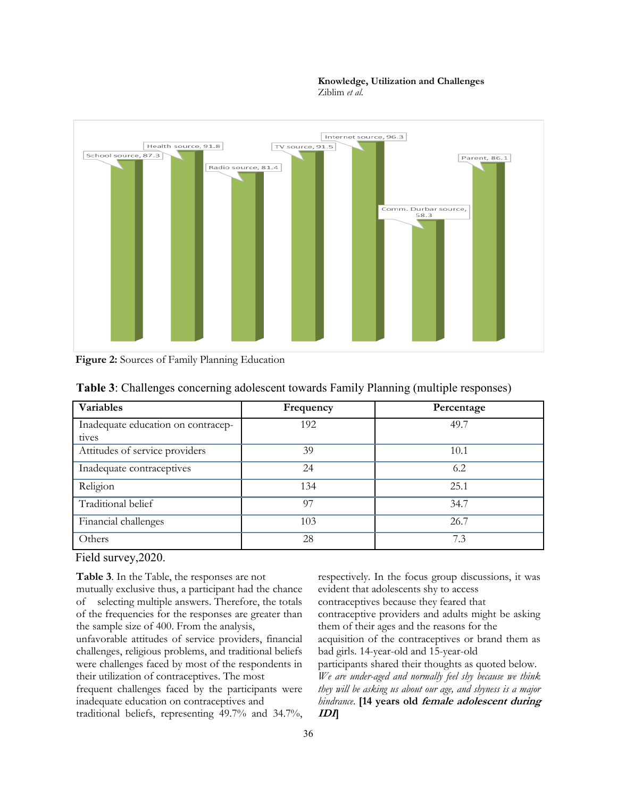

**Figure 2:** Sources of Family Planning Education

| Variables                                   | Frequency | Percentage |
|---------------------------------------------|-----------|------------|
| Inadequate education on contracep-<br>tives | 192       | 49.7       |
| Attitudes of service providers              | 39        | 10.1       |
| Inadequate contraceptives                   | 24        | 6.2        |
| Religion                                    | 134       | 25.1       |
| Traditional belief                          | 97        | 34.7       |
| Financial challenges                        | 103       | 26.7       |
| Others                                      | 28        | 7.3        |

#### **Table 3**: Challenges concerning adolescent towards Family Planning (multiple responses)

Field survey,2020.

**Table 3**. In the Table, the responses are not

mutually exclusive thus, a participant had the chance of selecting multiple answers. Therefore, the totals of the frequencies for the responses are greater than the sample size of 400. From the analysis,

unfavorable attitudes of service providers, financial challenges, religious problems, and traditional beliefs were challenges faced by most of the respondents in their utilization of contraceptives. The most

frequent challenges faced by the participants were inadequate education on contraceptives and traditional beliefs, representing 49.7% and 34.7%,

respectively. In the focus group discussions, it was evident that adolescents shy to access contraceptives because they feared that contraceptive providers and adults might be asking them of their ages and the reasons for the acquisition of the contraceptives or brand them as bad girls. 14-year-old and 15-year-old participants shared their thoughts as quoted below. *We are under-aged and normally feel shy because we think they will be asking us about our age, and shyness is a major hindrance*. **[14 years old female adolescent during IDI]**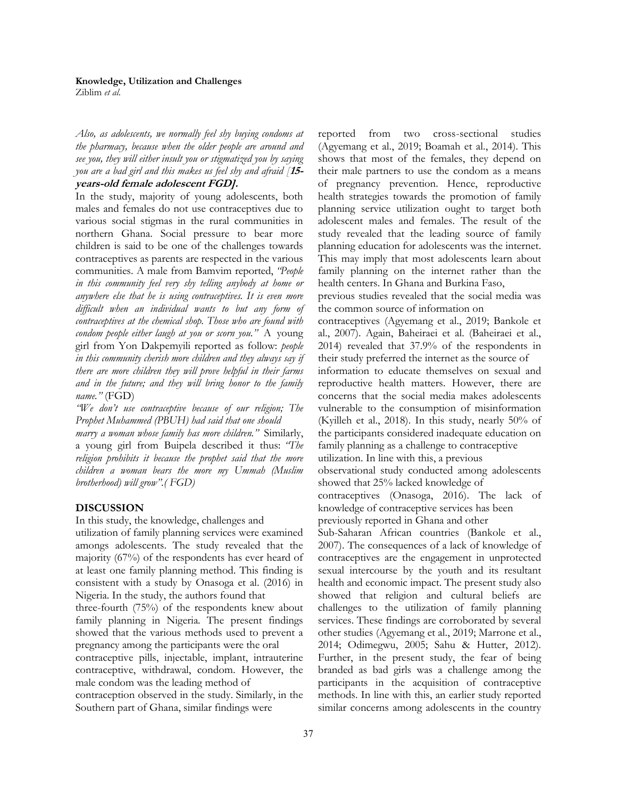#### **Knowledge, Utilization and Challenges**

Ziblim *et al*.

*Also, as adolescents, we normally feel shy buying condoms at the pharmacy, because when the older people are around and see you, they will either insult you or stigmatized you by saying you are a bad girl and this makes us feel shy and afraid [***15 years-old female adolescent FGD].**

In the study, majority of young adolescents, both males and females do not use contraceptives due to various social stigmas in the rural communities in northern Ghana. Social pressure to bear more children is said to be one of the challenges towards contraceptives as parents are respected in the various communities. A male from Bamvim reported, *"People in this community feel very shy telling anybody at home or anywhere else that he is using contraceptives. It is even more difficult when an individual wants to but any form of contraceptives at the chemical shop. Those who are found with condom people either laugh at you or scorn you."* A young girl from Yon Dakpemyili reported as follow: *people in this community cherish more children and they always say if there are more children they will prove helpful in their farms and in the future; and they will bring honor to the family name."* (FGD)

*"We don't use contraceptive because of our religion; The Prophet Muhammed (PBUH) had said that one should* 

*marry a woman whose family has more children."* Similarly, a young girl from Buipela described it thus: *"The religion prohibits it because the prophet said that the more children a woman bears the more my Ummah (Muslim brotherhood) will grow".( FGD)*

## **DISCUSSION**

In this study, the knowledge, challenges and

utilization of family planning services were examined amongs adolescents. The study revealed that the majority (67%) of the respondents has ever heard of at least one family planning method. This finding is consistent with a study by Onasoga et al. (2016) in Nigeria. In the study, the authors found that

three-fourth (75%) of the respondents knew about family planning in Nigeria. The present findings showed that the various methods used to prevent a pregnancy among the participants were the oral

contraceptive pills, injectable, implant, intrauterine contraceptive, withdrawal, condom. However, the male condom was the leading method of

contraception observed in the study. Similarly, in the Southern part of Ghana, similar findings were

reported from two cross-sectional studies (Agyemang et al., 2019; Boamah et al., 2014). This shows that most of the females, they depend on their male partners to use the condom as a means of pregnancy prevention. Hence, reproductive health strategies towards the promotion of family planning service utilization ought to target both adolescent males and females. The result of the study revealed that the leading source of family planning education for adolescents was the internet. This may imply that most adolescents learn about family planning on the internet rather than the health centers. In Ghana and Burkina Faso, previous studies revealed that the social media was

the common source of information on

contraceptives (Agyemang et al., 2019; Bankole et al., 2007). Again, Baheiraei et al. (Baheiraei et al., 2014) revealed that 37.9% of the respondents in their study preferred the internet as the source of information to educate themselves on sexual and reproductive health matters. However, there are concerns that the social media makes adolescents vulnerable to the consumption of misinformation (Kyilleh et al., 2018). In this study, nearly 50% of the participants considered inadequate education on family planning as a challenge to contraceptive

utilization. In line with this, a previous

observational study conducted among adolescents showed that 25% lacked knowledge of

contraceptives (Onasoga, 2016). The lack of knowledge of contraceptive services has been previously reported in Ghana and other

Sub-Saharan African countries (Bankole et al., 2007). The consequences of a lack of knowledge of contraceptives are the engagement in unprotected sexual intercourse by the youth and its resultant health and economic impact. The present study also showed that religion and cultural beliefs are challenges to the utilization of family planning services. These findings are corroborated by several other studies (Agyemang et al., 2019; Marrone et al., 2014; Odimegwu, 2005; Sahu & Hutter, 2012). Further, in the present study, the fear of being branded as bad girls was a challenge among the participants in the acquisition of contraceptive methods. In line with this, an earlier study reported similar concerns among adolescents in the country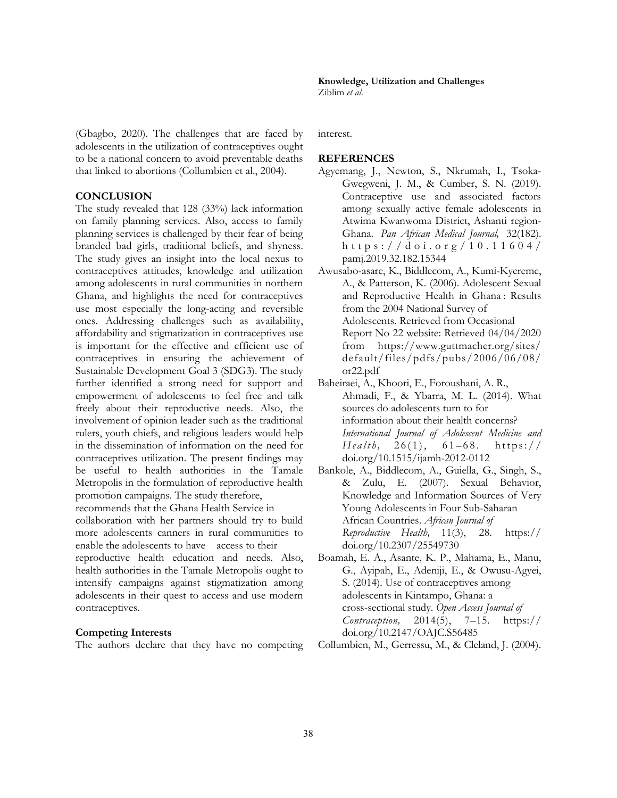(Gbagbo, 2020). The challenges that are faced by adolescents in the utilization of contraceptives ought to be a national concern to avoid preventable deaths that linked to abortions (Collumbien et al., 2004).

#### **CONCLUSION**

The study revealed that 128 (33%) lack information on family planning services. Also, access to family planning services is challenged by their fear of being branded bad girls, traditional beliefs, and shyness. The study gives an insight into the local nexus to contraceptives attitudes, knowledge and utilization among adolescents in rural communities in northern Ghana, and highlights the need for contraceptives use most especially the long-acting and reversible ones. Addressing challenges such as availability, affordability and stigmatization in contraceptives use is important for the effective and efficient use of contraceptives in ensuring the achievement of Sustainable Development Goal 3 (SDG3). The study further identified a strong need for support and empowerment of adolescents to feel free and talk freely about their reproductive needs. Also, the involvement of opinion leader such as the traditional rulers, youth chiefs, and religious leaders would help in the dissemination of information on the need for contraceptives utilization. The present findings may be useful to health authorities in the Tamale Metropolis in the formulation of reproductive health promotion campaigns. The study therefore,

recommends that the Ghana Health Service in

collaboration with her partners should try to build more adolescents canners in rural communities to enable the adolescents to have access to their

reproductive health education and needs. Also, health authorities in the Tamale Metropolis ought to intensify campaigns against stigmatization among adolescents in their quest to access and use modern contraceptives.

#### **Competing Interests**

The authors declare that they have no competing

**Knowledge, Utilization and Challenges**  Ziblim *et al*.

interest.

#### **REFERENCES**

- Agyemang, J., Newton, S., Nkrumah, I., Tsoka-Gwegweni, J. M., & Cumber, S. N. (2019). Contraceptive use and associated factors among sexually active female adolescents in Atwima Kwanwoma District, Ashanti region-Ghana. *Pan African Medical Journal,* 32(182). https://doi.org/10.11604/ pamj.2019.32.182.15344
- Awusabo-asare, K., Biddlecom, A., Kumi-Kyereme, A., & Patterson, K. (2006). Adolescent Sexual and Reproductive Health in Ghana : Results from the 2004 National Survey of Adolescents. Retrieved from Occasional Report No 22 website: Retrieved 04/04/2020 from https://www.guttmacher.org/sites/ default/files/pdfs/pubs/2006/06/08/ or22.pdf
- Baheiraei, A., Khoori, E., Foroushani, A. R., Ahmadi, F., & Ybarra, M. L. (2014). What sources do adolescents turn to for information about their health concerns? *International Journal of Adolescent Medicine and*   $Health, 26(1), 61-68. https://$ doi.org/10.1515/ijamh-2012-0112
- Bankole, A., Biddlecom, A., Guiella, G., Singh, S., & Zulu, E. (2007). Sexual Behavior, Knowledge and Information Sources of Very Young Adolescents in Four Sub-Saharan African Countries. *African Journal of Reproductive Health,* 11(3), 28. https:// doi.org/10.2307/25549730
- Boamah, E. A., Asante, K. P., Mahama, E., Manu, G., Ayipah, E., Adeniji, E., & Owusu-Agyei, S. (2014). Use of contraceptives among adolescents in Kintampo, Ghana: a cross-sectional study. *Open Access Journal of Contraception,* 2014(5), 7–15. https:// doi.org/10.2147/OAJC.S56485

Collumbien, M., Gerressu, M., & Cleland, J. (2004).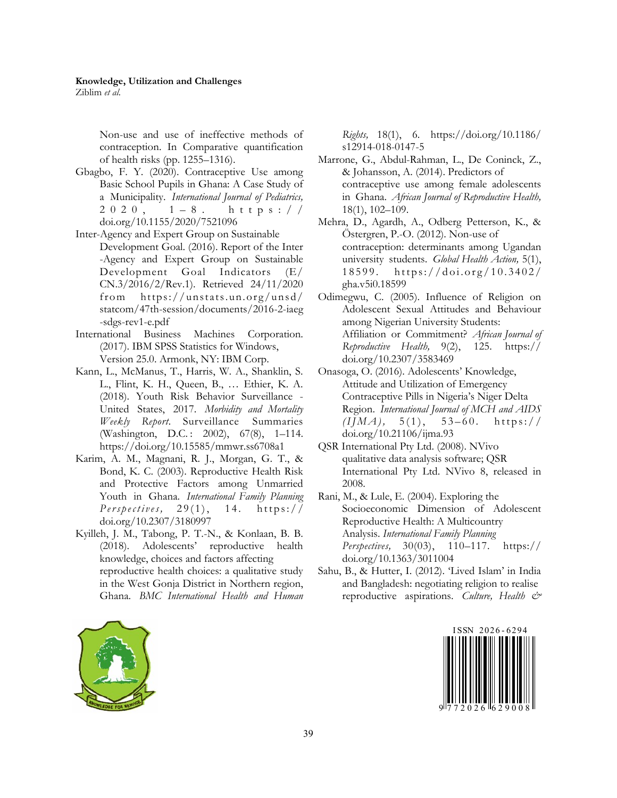Ziblim *et al*.

Non-use and use of ineffective methods of contraception. In Comparative quantification of health risks (pp. 1255–1316).

- Gbagbo, F. Y. (2020). Contraceptive Use among Basic School Pupils in Ghana: A Case Study of a Municipality. *International Journal of Pediatrics,*  $2020$ ,  $1-8$ . https:// doi.org/10.1155/2020/7521096
- Inter-Agency and Expert Group on Sustainable Development Goal. (2016). Report of the Inter -Agency and Expert Group on Sustainable Development Goal Indicators (E/ CN.3/2016/2/Rev.1). Retrieved 24/11/2020 from https://unstats.un.org/unsd/ statcom/47th-session/documents/2016-2-iaeg -sdgs-rev1-e.pdf
- International Business Machines Corporation. (2017). IBM SPSS Statistics for Windows, Version 25.0. Armonk, NY: IBM Corp.
- Kann, L., McManus, T., Harris, W. A., Shanklin, S. L., Flint, K. H., Queen, B., … Ethier, K. A. (2018). Youth Risk Behavior Surveillance - United States, 2017. *Morbidity and Mortality Weekly Report.* Surveillance Summaries (Washington, D.C.: 2002), 67(8), 1–114. https://doi.org/10.15585/mmwr.ss6708a1
- Karim, A. M., Magnani, R. J., Morgan, G. T., & Bond, K. C. (2003). Reproductive Health Risk and Protective Factors among Unmarried Youth in Ghana. *International Family Planning Perspectives*, 29(1), 14. https:// doi.org/10.2307/3180997
- Kyilleh, J. M., Tabong, P. T.-N., & Konlaan, B. B. (2018). Adolescents' reproductive health knowledge, choices and factors affecting reproductive health choices: a qualitative study in the West Gonja District in Northern region, Ghana. *BMC International Health and Human*

*Rights,* 18(1), 6. https://doi.org/10.1186/ s12914-018-0147-5

- Marrone, G., Abdul-Rahman, L., De Coninck, Z., & Johansson, A. (2014). Predictors of contraceptive use among female adolescents in Ghana. *African Journal of Reproductive Health,* 18(1), 102–109.
- Mehra, D., Agardh, A., Odberg Petterson, K., & Östergren, P.-O. (2012). Non-use of contraception: determinants among Ugandan university students. *Global Health Action,* 5(1), 18599. https://doi.org/10.3402/ gha.v5i0.18599
- Odimegwu, C. (2005). Influence of Religion on Adolescent Sexual Attitudes and Behaviour among Nigerian University Students: Affiliation or Commitment? *African Journal of Reproductive Health,* 9(2), 125. https:// doi.org/10.2307/3583469
- Onasoga, O. (2016). Adolescents' Knowledge, Attitude and Utilization of Emergency Contraceptive Pills in Nigeria's Niger Delta Region. *International Journal of MCH and AIDS*   $(IIMA), 5(1), 53-60.$  https:// doi.org/10.21106/ijma.93
- QSR International Pty Ltd. (2008). NVivo qualitative data analysis software; QSR International Pty Ltd. NVivo 8, released in 2008.
- Rani, M., & Lule, E. (2004). Exploring the Socioeconomic Dimension of Adolescent Reproductive Health: A Multicountry Analysis. *International Family Planning Perspectives,* 30(03), 110–117. https:// doi.org/10.1363/3011004
- Sahu, B., & Hutter, I. (2012). 'Lived Islam' in India and Bangladesh: negotiating religion to realise reproductive aspirations. *Culture, Health &*